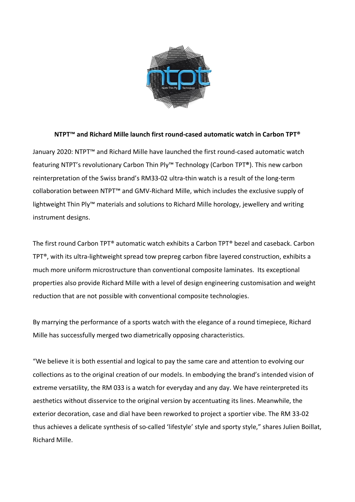

## **NTPT™ and Richard Mille launch first round-cased automatic watch in Carbon TPT®**

January 2020: NTPT™ and Richard Mille have launched the first round-cased automatic watch featuring NTPT's revolutionary Carbon Thin Ply™ Technology (Carbon TPT**®**). This new carbon reinterpretation of the Swiss brand's RM33-02 ultra-thin watch is a result of the long-term collaboration between NTPT™ and GMV-Richard Mille, which includes the exclusive supply of lightweight Thin Ply™ materials and solutions to Richard Mille horology, jewellery and writing instrument designs.

The first round Carbon TPT® automatic watch exhibits a Carbon TPT® bezel and caseback. Carbon TPT®, with its ultra-lightweight spread tow prepreg carbon fibre layered construction, exhibits a much more uniform microstructure than conventional composite laminates. Its exceptional properties also provide Richard Mille with a level of design engineering customisation and weight reduction that are not possible with conventional composite technologies.

By marrying the performance of a sports watch with the elegance of a round timepiece, Richard Mille has successfully merged two diametrically opposing characteristics.

"We believe it is both essential and logical to pay the same care and attention to evolving our collections as to the original creation of our models. In embodying the brand's intended vision of extreme versatility, the RM 033 is a watch for everyday and any day. We have reinterpreted its aesthetics without disservice to the original version by accentuating its lines. Meanwhile, the exterior decoration, case and dial have been reworked to project a sportier vibe. The RM 33-02 thus achieves a delicate synthesis of so-called 'lifestyle' style and sporty style," shares Julien Boillat, Richard Mille.